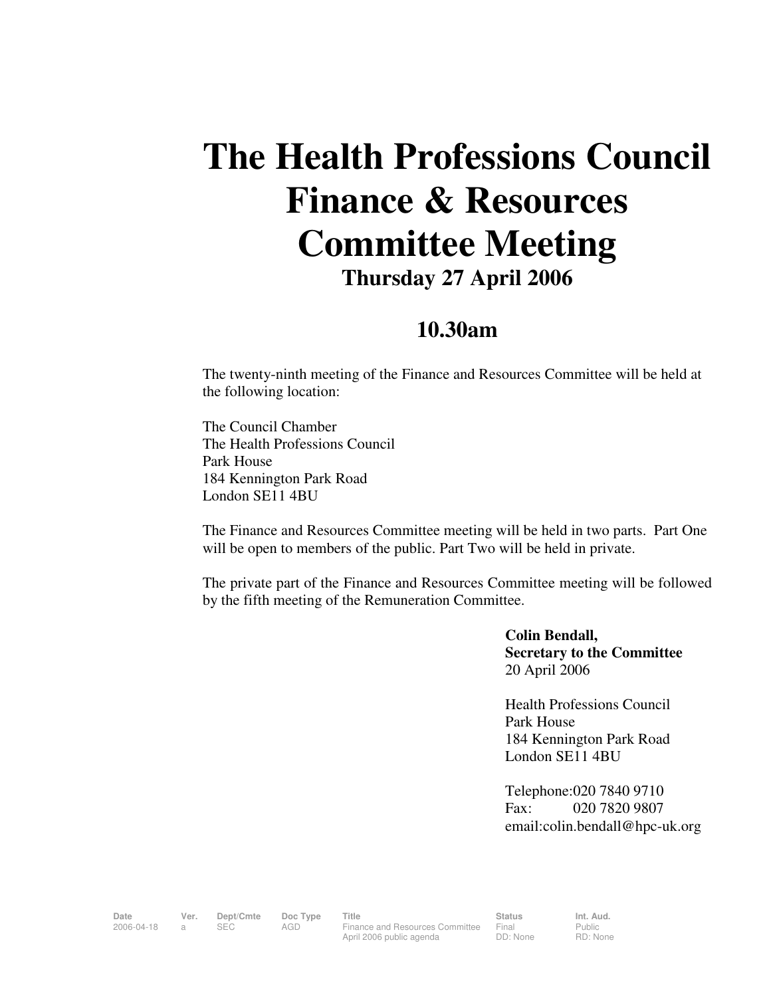## **The Health Professions Council Finance & Resources Committee Meeting Thursday 27 April 2006**

## **10.30am**

The twenty-ninth meeting of the Finance and Resources Committee will be held at the following location:

The Council Chamber The Health Professions Council Park House 184 Kennington Park Road London SE11 4BU

The Finance and Resources Committee meeting will be held in two parts. Part One will be open to members of the public. Part Two will be held in private.

The private part of the Finance and Resources Committee meeting will be followed by the fifth meeting of the Remuneration Committee.

> **Colin Bendall, Secretary to the Committee**  20 April 2006

Health Professions Council Park House 184 Kennington Park Road London SE11 4BU

Telephone:020 7840 9710 Fax: 020 7820 9807 email:colin.bendall@hpc-uk.org

Date Ver. Dept/Cmte Doc<sup>Type</sup> Title **Status** Status Int. Aud. 2006-04-18 a SEC AGD Finance and Resources Committee April 2006 public agenda

Final DD: None Public RD: None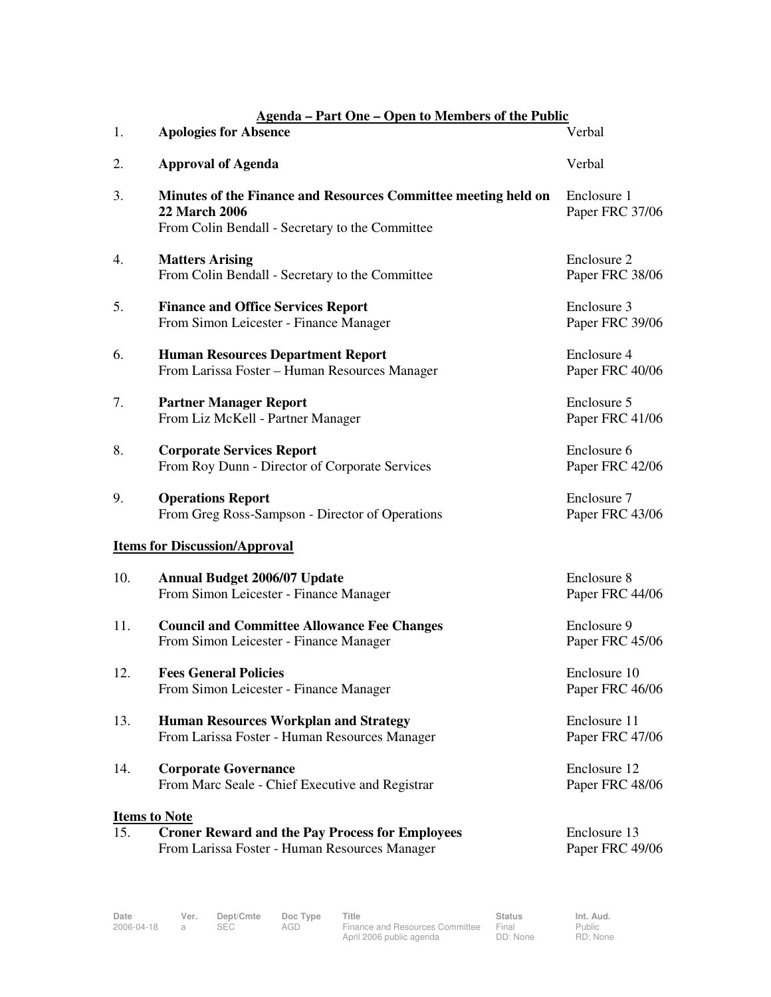| <b>Agenda – Part One – Open to Members of the Public</b> |                                                                                                                                           |                                 |  |  |  |  |  |  |
|----------------------------------------------------------|-------------------------------------------------------------------------------------------------------------------------------------------|---------------------------------|--|--|--|--|--|--|
| 1.                                                       | <b>Apologies for Absence</b>                                                                                                              | Verbal                          |  |  |  |  |  |  |
| 2.                                                       | <b>Approval of Agenda</b>                                                                                                                 | Verbal                          |  |  |  |  |  |  |
| 3.                                                       | Minutes of the Finance and Resources Committee meeting held on<br><b>22 March 2006</b><br>From Colin Bendall - Secretary to the Committee | Enclosure 1<br>Paper FRC 37/06  |  |  |  |  |  |  |
| 4.                                                       | <b>Matters Arising</b><br>From Colin Bendall - Secretary to the Committee                                                                 | Enclosure 2<br>Paper FRC 38/06  |  |  |  |  |  |  |
| 5.                                                       | <b>Finance and Office Services Report</b><br>From Simon Leicester - Finance Manager                                                       | Enclosure 3<br>Paper FRC 39/06  |  |  |  |  |  |  |
| 6.                                                       | <b>Human Resources Department Report</b><br>From Larissa Foster - Human Resources Manager                                                 | Enclosure 4<br>Paper FRC 40/06  |  |  |  |  |  |  |
| 7.                                                       | <b>Partner Manager Report</b><br>From Liz McKell - Partner Manager                                                                        | Enclosure 5<br>Paper FRC 41/06  |  |  |  |  |  |  |
| 8.                                                       | <b>Corporate Services Report</b><br>From Roy Dunn - Director of Corporate Services                                                        | Enclosure 6<br>Paper FRC 42/06  |  |  |  |  |  |  |
| 9.                                                       | <b>Operations Report</b><br>From Greg Ross-Sampson - Director of Operations                                                               | Enclosure 7<br>Paper FRC 43/06  |  |  |  |  |  |  |
|                                                          | <b>Items for Discussion/Approval</b>                                                                                                      |                                 |  |  |  |  |  |  |
| 10.                                                      | <b>Annual Budget 2006/07 Update</b><br>From Simon Leicester - Finance Manager                                                             | Enclosure 8<br>Paper FRC 44/06  |  |  |  |  |  |  |
| 11.                                                      | <b>Council and Committee Allowance Fee Changes</b><br>From Simon Leicester - Finance Manager                                              | Enclosure 9<br>Paper FRC 45/06  |  |  |  |  |  |  |
| 12.                                                      | <b>Fees General Policies</b><br>From Simon Leicester - Finance Manager                                                                    | Enclosure 10<br>Paper FRC 46/06 |  |  |  |  |  |  |
| 13.                                                      | <b>Human Resources Workplan and Strategy</b><br>From Larissa Foster - Human Resources Manager                                             | Enclosure 11<br>Paper FRC 47/06 |  |  |  |  |  |  |
| 14.                                                      | <b>Corporate Governance</b><br>From Marc Seale - Chief Executive and Registrar                                                            | Enclosure 12<br>Paper FRC 48/06 |  |  |  |  |  |  |
| <b>Items to Note</b>                                     |                                                                                                                                           |                                 |  |  |  |  |  |  |
| 15.                                                      | <b>Croner Reward and the Pay Process for Employees</b><br>From Larissa Foster - Human Resources Manager                                   | Enclosure 13<br>Paper FRC 49/06 |  |  |  |  |  |  |

**Date Ver. Dept/Cmte Doc Type Title Status Status Status**<br>2006-04-18 a SEC AGD Finance and Resources Committee Final 2006-04-18 a SEC AGD Finance and Resources Committee April 2006 public agenda

Final DD: None Public RD: None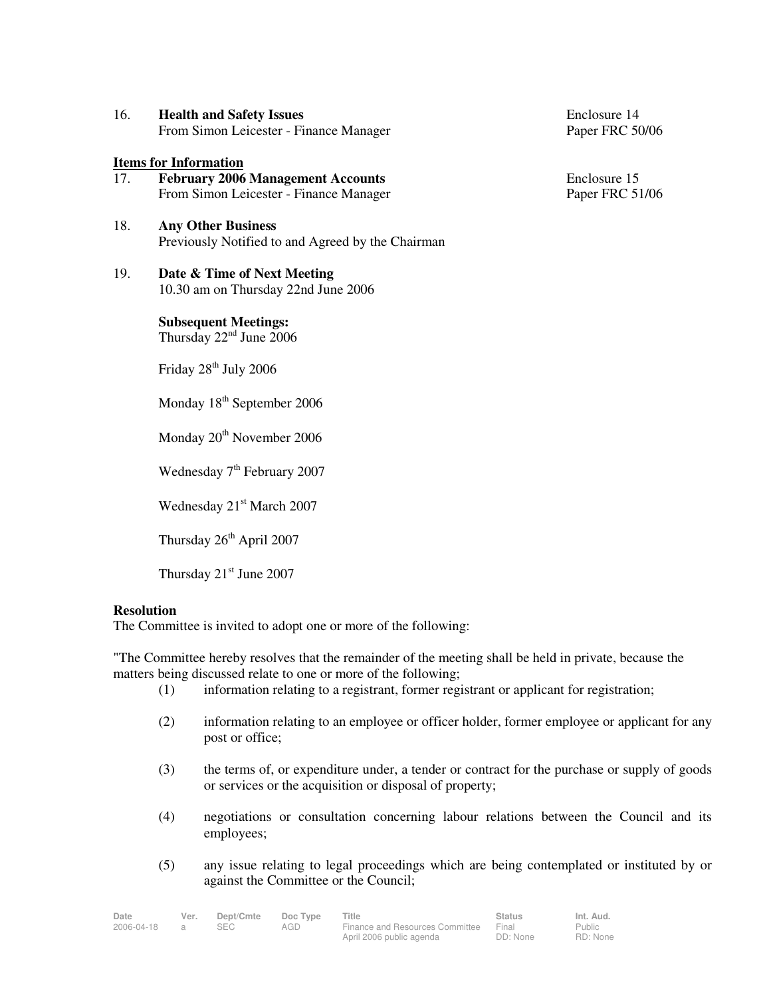| 16. | <b>Health and Safety Issues</b>        |
|-----|----------------------------------------|
|     | From Simon Leicester - Finance Manager |

## **Items for Information**

- 17. **February 2006 Management Accounts** Enclosure 15<br>From Simon Leicester Finance Manager Paper FRC 51/06 From Simon Leicester - Finance Manager
- 18. **Any Other Business**  Previously Notified to and Agreed by the Chairman
- 19. **Date & Time of Next Meeting** 10.30 am on Thursday 22nd June 2006

**Subsequent Meetings:**  Thursday 22<sup>nd</sup> June 2006

Friday 28<sup>th</sup> July 2006

Monday 18<sup>th</sup> September 2006

Monday 20<sup>th</sup> November 2006

Wednesday 7<sup>th</sup> February 2007

Wednesday 21<sup>st</sup> March 2007

Thursday 26<sup>th</sup> April 2007

Thursday  $21<sup>st</sup>$  June 2007

## **Resolution**

The Committee is invited to adopt one or more of the following:

"The Committee hereby resolves that the remainder of the meeting shall be held in private, because the matters being discussed relate to one or more of the following;

- (1) information relating to a registrant, former registrant or applicant for registration;
- (2) information relating to an employee or officer holder, former employee or applicant for any post or office;
- (3) the terms of, or expenditure under, a tender or contract for the purchase or supply of goods or services or the acquisition or disposal of property;
- (4) negotiations or consultation concerning labour relations between the Council and its employees;
- (5) any issue relating to legal proceedings which are being contemplated or instituted by or against the Committee or the Council;

| Date       | Ver. | Dept/Cmte  | Doc Type | Title                           | <b>Status</b> | Int. Aud.     |  |
|------------|------|------------|----------|---------------------------------|---------------|---------------|--|
| 2006-04-18 |      | <b>SEC</b> | AGD      | Finance and Resources Committee | Final         | <b>Public</b> |  |
|            |      |            |          | April 2006 public agenda        | DD: None      | RD: None      |  |

Enclosure 14 Paper FRC 50/06